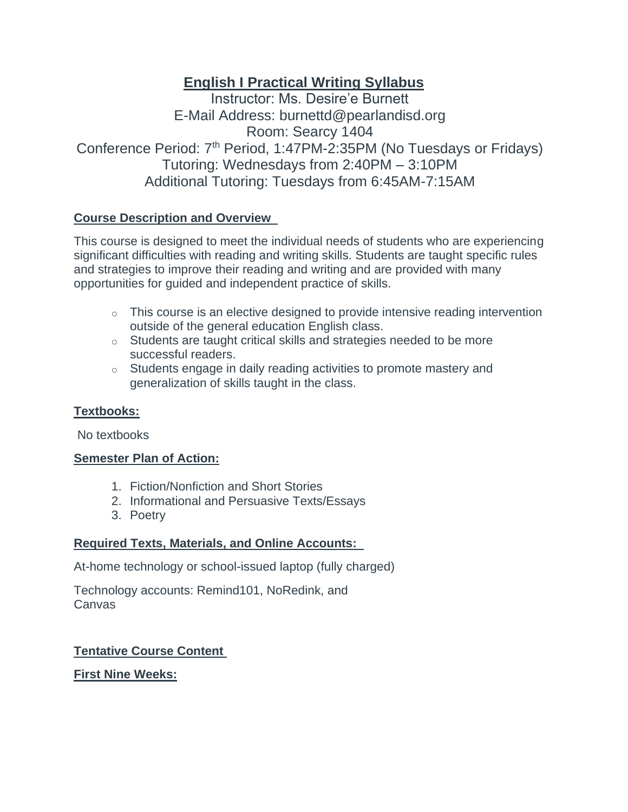## **English I Practical Writing Syllabus**

Instructor: Ms. Desire'e Burnett E-Mail Address: burnettd@pearlandisd.org Room: Searcy 1404 Conference Period: 7<sup>th</sup> Period, 1:47PM-2:35PM (No Tuesdays or Fridays) Tutoring: Wednesdays from 2:40PM – 3:10PM Additional Tutoring: Tuesdays from 6:45AM-7:15AM

## **Course Description and Overview**

This course is designed to meet the individual needs of students who are experiencing significant difficulties with reading and writing skills. Students are taught specific rules and strategies to improve their reading and writing and are provided with many opportunities for guided and independent practice of skills.

- o This course is an elective designed to provide intensive reading intervention outside of the general education English class.
- o Students are taught critical skills and strategies needed to be more successful readers.
- o Students engage in daily reading activities to promote mastery and generalization of skills taught in the class.

## **Textbooks:**

No textbooks

## **Semester Plan of Action:**

- 1. Fiction/Nonfiction and Short Stories
- 2. Informational and Persuasive Texts/Essays
- 3. Poetry

## **Required Texts, Materials, and Online Accounts:**

At-home technology or school-issued laptop (fully charged)

Technology accounts: Remind101, NoRedink, and Canvas

## **Tentative Course Content**

## **First Nine Weeks:**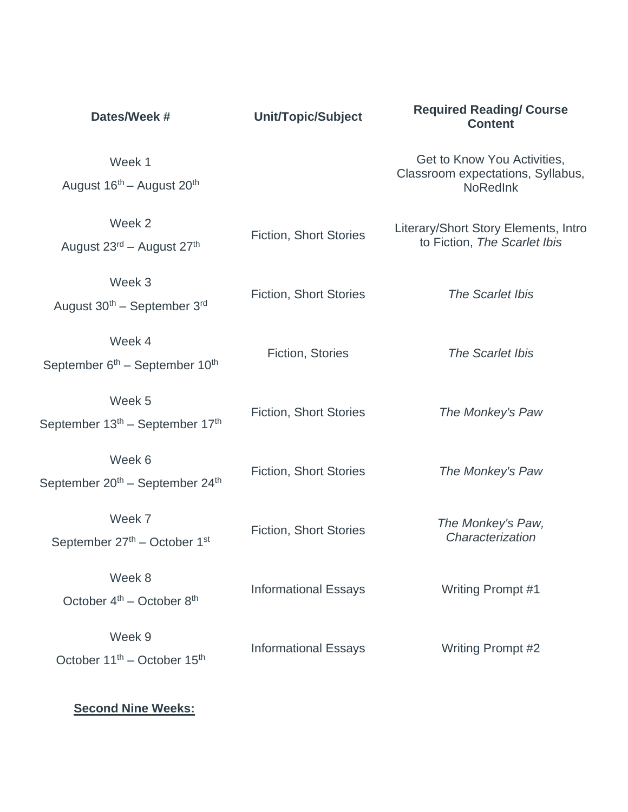| Dates/Week #                                                      | Unit/Topic/Subject            | <b>Required Reading/ Course</b><br><b>Content</b>                                   |  |
|-------------------------------------------------------------------|-------------------------------|-------------------------------------------------------------------------------------|--|
| Week 1<br>August 16 <sup>th</sup> - August 20 <sup>th</sup>       |                               | Get to Know You Activities,<br>Classroom expectations, Syllabus,<br><b>NoRedInk</b> |  |
| Week 2<br>August 23 <sup>rd</sup> – August 27 <sup>th</sup>       | <b>Fiction, Short Stories</b> | Literary/Short Story Elements, Intro<br>to Fiction, The Scarlet Ibis                |  |
| Week 3<br>August $30th$ – September $3rd$                         | <b>Fiction, Short Stories</b> | The Scarlet Ibis                                                                    |  |
| Week 4<br>September 6 <sup>th</sup> – September 10 <sup>th</sup>  | Fiction, Stories              | The Scarlet Ibis                                                                    |  |
| Week 5<br>September 13 <sup>th</sup> – September 17 <sup>th</sup> | <b>Fiction, Short Stories</b> | The Monkey's Paw                                                                    |  |
| Week 6<br>September 20 <sup>th</sup> – September 24 <sup>th</sup> | <b>Fiction, Short Stories</b> | The Monkey's Paw                                                                    |  |
| Week 7<br>September 27th - October 1st                            | <b>Fiction, Short Stories</b> | The Monkey's Paw,<br>Characterization                                               |  |
| Week 8<br>October $4^{th}$ – October $8^{th}$                     | <b>Informational Essays</b>   | Writing Prompt #1                                                                   |  |
| Week 9<br>October 11 <sup>th</sup> – October 15 <sup>th</sup>     | <b>Informational Essays</b>   | Writing Prompt #2                                                                   |  |

# **Second Nine Weeks:**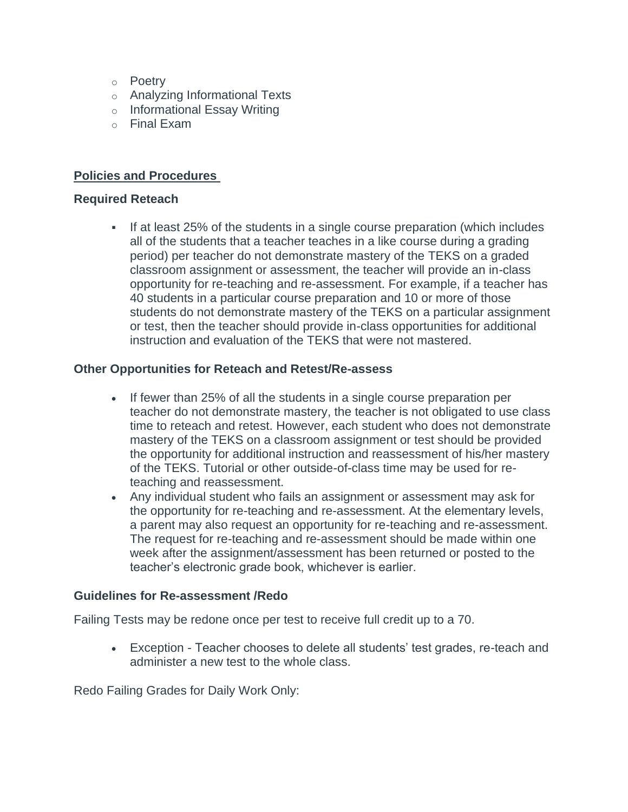- o Poetry
- o Analyzing Informational Texts
- o Informational Essay Writing
- o Final Exam

#### **Policies and Procedures**

#### **Required Reteach**

▪ If at least 25% of the students in a single course preparation (which includes all of the students that a teacher teaches in a like course during a grading period) per teacher do not demonstrate mastery of the TEKS on a graded classroom assignment or assessment, the teacher will provide an in-class opportunity for re-teaching and re-assessment. For example, if a teacher has 40 students in a particular course preparation and 10 or more of those students do not demonstrate mastery of the TEKS on a particular assignment or test, then the teacher should provide in-class opportunities for additional instruction and evaluation of the TEKS that were not mastered.

#### **Other Opportunities for Reteach and Retest/Re-assess**

- If fewer than 25% of all the students in a single course preparation per teacher do not demonstrate mastery, the teacher is not obligated to use class time to reteach and retest. However, each student who does not demonstrate mastery of the TEKS on a classroom assignment or test should be provided the opportunity for additional instruction and reassessment of his/her mastery of the TEKS. Tutorial or other outside-of-class time may be used for reteaching and reassessment.
- Any individual student who fails an assignment or assessment may ask for the opportunity for re-teaching and re-assessment. At the elementary levels, a parent may also request an opportunity for re-teaching and re-assessment. The request for re-teaching and re-assessment should be made within one week after the assignment/assessment has been returned or posted to the teacher's electronic grade book, whichever is earlier.

#### **Guidelines for Re-assessment /Redo**

Failing Tests may be redone once per test to receive full credit up to a 70.

• Exception - Teacher chooses to delete all students' test grades, re-teach and administer a new test to the whole class.

Redo Failing Grades for Daily Work Only: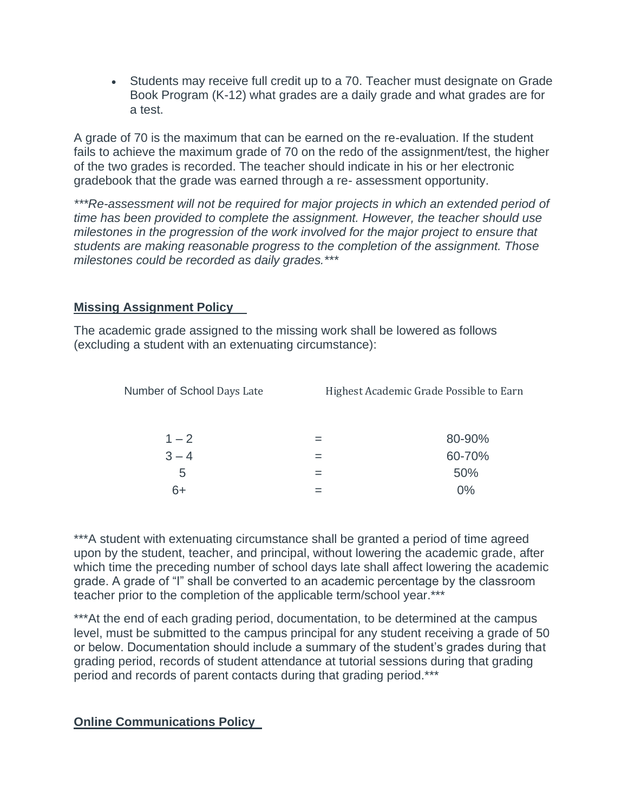• Students may receive full credit up to a 70. Teacher must designate on Grade Book Program (K-12) what grades are a daily grade and what grades are for a test.

A grade of 70 is the maximum that can be earned on the re-evaluation. If the student fails to achieve the maximum grade of 70 on the redo of the assignment/test, the higher of the two grades is recorded. The teacher should indicate in his or her electronic gradebook that the grade was earned through a re- assessment opportunity.

*\*\*\*Re-assessment will not be required for major projects in which an extended period of time has been provided to complete the assignment. However, the teacher should use milestones in the progression of the work involved for the major project to ensure that students are making reasonable progress to the completion of the assignment. Those milestones could be recorded as daily grades.\*\*\**

## **Missing Assignment Policy**

The academic grade assigned to the missing work shall be lowered as follows (excluding a student with an extenuating circumstance):

| Number of School Days Late | Highest Academic Grade Possible to Earn |        |
|----------------------------|-----------------------------------------|--------|
| $1 - 2$                    |                                         | 80-90% |
| $3 - 4$                    |                                         | 60-70% |
| 5                          |                                         | 50%    |
| 6+                         |                                         | $0\%$  |

\*\*\*A student with extenuating circumstance shall be granted a period of time agreed upon by the student, teacher, and principal, without lowering the academic grade, after which time the preceding number of school days late shall affect lowering the academic grade. A grade of "I" shall be converted to an academic percentage by the classroom teacher prior to the completion of the applicable term/school year.\*\*\*

\*\*\*At the end of each grading period, documentation, to be determined at the campus level, must be submitted to the campus principal for any student receiving a grade of 50 or below. Documentation should include a summary of the student's grades during that grading period, records of student attendance at tutorial sessions during that grading period and records of parent contacts during that grading period.\*\*\*

## **Online Communications Policy**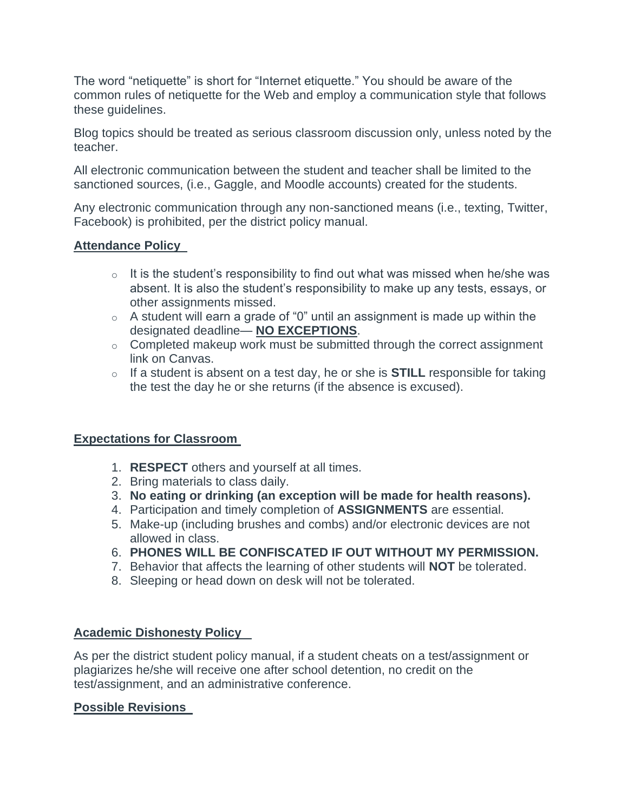The word "netiquette" is short for "Internet etiquette." You should be aware of the common rules of netiquette for the Web and employ a communication style that follows these guidelines.

Blog topics should be treated as serious classroom discussion only, unless noted by the teacher.

All electronic communication between the student and teacher shall be limited to the sanctioned sources, (i.e., Gaggle, and Moodle accounts) created for the students.

Any electronic communication through any non-sanctioned means (i.e., texting, Twitter, Facebook) is prohibited, per the district policy manual.

#### **Attendance Policy**

- $\circ$  It is the student's responsibility to find out what was missed when he/she was absent. It is also the student's responsibility to make up any tests, essays, or other assignments missed.
- $\circ$  A student will earn a grade of "0" until an assignment is made up within the designated deadline— **NO EXCEPTIONS**.
- o Completed makeup work must be submitted through the correct assignment link on Canvas.
- o If a student is absent on a test day, he or she is **STILL** responsible for taking the test the day he or she returns (if the absence is excused).

## **Expectations for Classroom**

- 1. **RESPECT** others and yourself at all times.
- 2. Bring materials to class daily.
- 3. **No eating or drinking (an exception will be made for health reasons).**
- 4. Participation and timely completion of **ASSIGNMENTS** are essential.
- 5. Make-up (including brushes and combs) and/or electronic devices are not allowed in class.
- 6. **PHONES WILL BE CONFISCATED IF OUT WITHOUT MY PERMISSION.**
- 7. Behavior that affects the learning of other students will **NOT** be tolerated.
- 8. Sleeping or head down on desk will not be tolerated.

## **Academic Dishonesty Policy**

As per the district student policy manual, if a student cheats on a test/assignment or plagiarizes he/she will receive one after school detention, no credit on the test/assignment, and an administrative conference.

## **Possible Revisions**